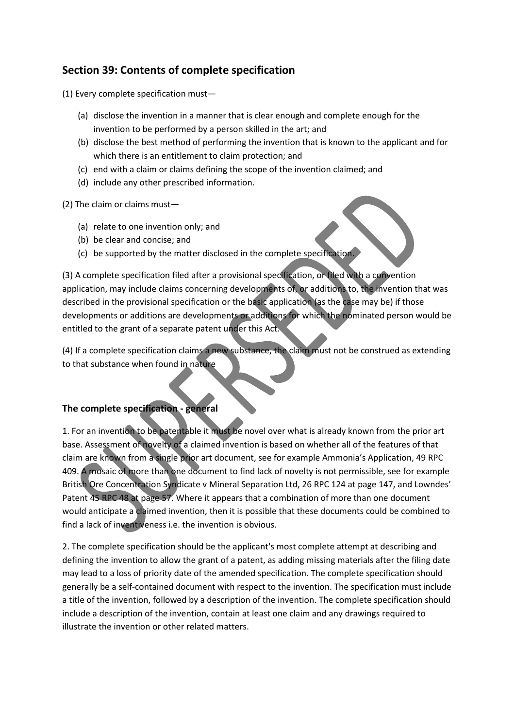# **Section 39: Contents of complete specification**

(1) Every complete specification must—

- (a) disclose the invention in a manner that is clear enough and complete enough for the invention to be performed by a person skilled in the art; and
- (b) disclose the best method of performing the invention that is known to the applicant and for which there is an entitlement to claim protection; and
- (c) end with a claim or claims defining the scope of the invention claimed; and
- (d) include any other prescribed information.

(2) The claim or claims must—

- (a) relate to one invention only; and
- (b) be clear and concise; and
- (c) be supported by the matter disclosed in the complete specification.

(3) A complete specification filed after a provisional specification, or filed with a convention application, may include claims concerning developments of, or additions to, the invention that was described in the provisional specification or the basic application (as the case may be) if those developments or additions are developments or additions for which the nominated person would be entitled to the grant of a separate patent under this Act.

(4) If a complete specification claims a new substance, the claim must not be construed as extending to that substance when found in nature

## **The complete specification - general**

1. For an invention to be patentable it must be novel over what is already known from the prior art base. Assessment of novelty of a claimed invention is based on whether all of the features of that claim are known from a single prior art document, see for example Ammonia's Application, 49 RPC 409. A mosaic of more than one document to find lack of novelty is not permissible, see for example British Ore Concentration Syndicate v Mineral Separation Ltd, 26 RPC 124 at page 147, and Lowndes' Patent 45 RPC 48 at page 57. Where it appears that a combination of more than one document would anticipate a claimed invention, then it is possible that these documents could be combined to find a lack of inventiveness i.e. the invention is obvious.

2. The complete specification should be the applicant's most complete attempt at describing and defining the invention to allow the grant of a patent, as adding missing materials after the filing date may lead to a loss of priority date of the amended specification. The complete specification should generally be a self-contained document with respect to the invention. The specification must include a title of the invention, followed by a description of the invention. The complete specification should include a description of the invention, contain at least one claim and any drawings required to illustrate the invention or other related matters.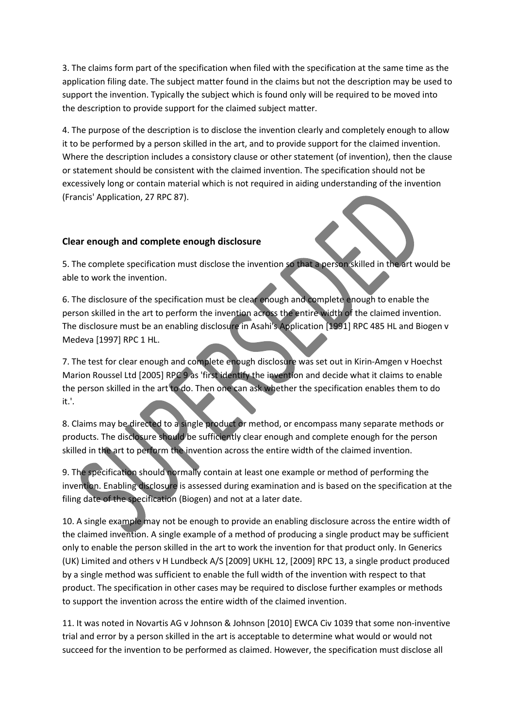3. The claims form part of the specification when filed with the specification at the same time as the application filing date. The subject matter found in the claims but not the description may be used to support the invention. Typically the subject which is found only will be required to be moved into the description to provide support for the claimed subject matter.

4. The purpose of the description is to disclose the invention clearly and completely enough to allow it to be performed by a person skilled in the art, and to provide support for the claimed invention. Where the description includes a consistory clause or other statement (of invention), then the clause or statement should be consistent with the claimed invention. The specification should not be excessively long or contain material which is not required in aiding understanding of the invention (Francis' Application, 27 RPC 87).

## **Clear enough and complete enough disclosure**

5. The complete specification must disclose the invention so that a person skilled in the art would be able to work the invention.

6. The disclosure of the specification must be clear enough and complete enough to enable the person skilled in the art to perform the invention across the entire width of the claimed invention. The disclosure must be an enabling disclosure in Asahi's Application [1991] RPC 485 HL and Biogen v Medeva [1997] RPC 1 HL.

7. The test for clear enough and complete enough disclosure was set out in Kirin-Amgen v Hoechst Marion Roussel Ltd [2005] RPC 9 as 'first identify the invention and decide what it claims to enable the person skilled in the art to do. Then one can ask whether the specification enables them to do it.'.

8. Claims may be directed to a single product or method, or encompass many separate methods or products. The disclosure should be sufficiently clear enough and complete enough for the person skilled in the art to perform the invention across the entire width of the claimed invention.

9. The specification should normally contain at least one example or method of performing the invention. Enabling disclosure is assessed during examination and is based on the specification at the filing date of the specification (Biogen) and not at a later date.

10. A single example may not be enough to provide an enabling disclosure across the entire width of the claimed invention. A single example of a method of producing a single product may be sufficient only to enable the person skilled in the art to work the invention for that product only. In Generics (UK) Limited and others v H Lundbeck A/S [2009] UKHL 12, [2009] RPC 13, a single product produced by a single method was sufficient to enable the full width of the invention with respect to that product. The specification in other cases may be required to disclose further examples or methods to support the invention across the entire width of the claimed invention.

11. It was noted in Novartis AG v Johnson & Johnson [2010] EWCA Civ 1039 that some non-inventive trial and error by a person skilled in the art is acceptable to determine what would or would not succeed for the invention to be performed as claimed. However, the specification must disclose all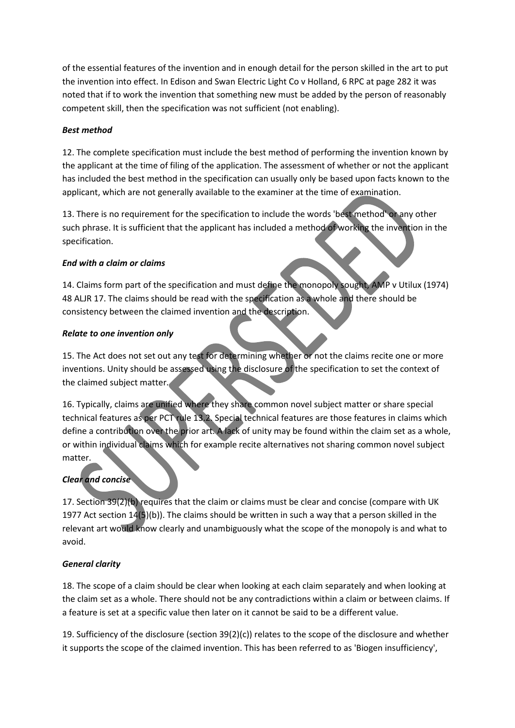of the essential features of the invention and in enough detail for the person skilled in the art to put the invention into effect. In Edison and Swan Electric Light Co v Holland, 6 RPC at page 282 it was noted that if to work the invention that something new must be added by the person of reasonably competent skill, then the specification was not sufficient (not enabling).

#### *Best method*

12. The complete specification must include the best method of performing the invention known by the applicant at the time of filing of the application. The assessment of whether or not the applicant has included the best method in the specification can usually only be based upon facts known to the applicant, which are not generally available to the examiner at the time of examination.

13. There is no requirement for the specification to include the words 'best method' or any other such phrase. It is sufficient that the applicant has included a method of working the invention in the specification.

#### *End with a claim or claims*

14. Claims form part of the specification and must define the monopoly sought, AMP v Utilux (1974) 48 ALJR 17. The claims should be read with the specification as a whole and there should be consistency between the claimed invention and the description.

#### *Relate to one invention only*

15. The Act does not set out any test for determining whether or not the claims recite one or more inventions. Unity should be assessed using the disclosure of the specification to set the context of the claimed subject matter.

16. Typically, claims are unified where they share common novel subject matter or share special technical features as per PCT rule 13.2. Special technical features are those features in claims which define a contribution over the prior art. A lack of unity may be found within the claim set as a whole, or within individual claims which for example recite alternatives not sharing common novel subject matter.

## *Clear and concise*

17. Section 39(2)(b) requires that the claim or claims must be clear and concise (compare with UK 1977 Act section  $14(5)(b)$ ). The claims should be written in such a way that a person skilled in the relevant art would know clearly and unambiguously what the scope of the monopoly is and what to avoid.

## *General clarity*

18. The scope of a claim should be clear when looking at each claim separately and when looking at the claim set as a whole. There should not be any contradictions within a claim or between claims. If a feature is set at a specific value then later on it cannot be said to be a different value.

19. Sufficiency of the disclosure (section 39(2)(c)) relates to the scope of the disclosure and whether it supports the scope of the claimed invention. This has been referred to as 'Biogen insufficiency',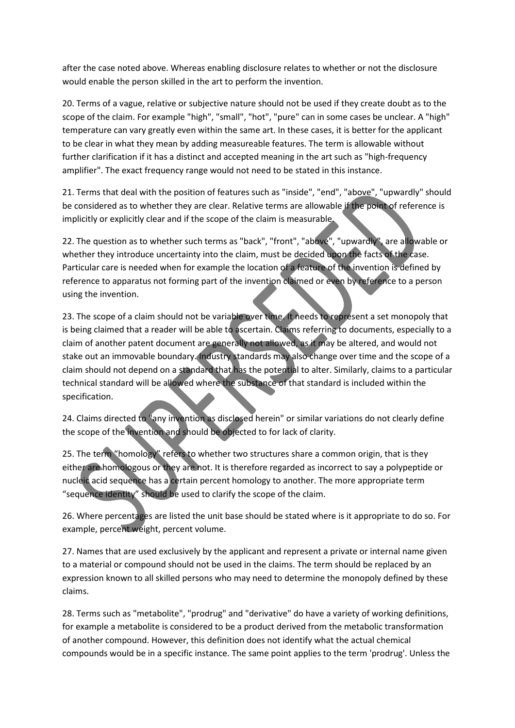after the case noted above. Whereas enabling disclosure relates to whether or not the disclosure would enable the person skilled in the art to perform the invention.

20. Terms of a vague, relative or subjective nature should not be used if they create doubt as to the scope of the claim. For example "high", "small", "hot", "pure" can in some cases be unclear. A "high" temperature can vary greatly even within the same art. In these cases, it is better for the applicant to be clear in what they mean by adding measureable features. The term is allowable without further clarification if it has a distinct and accepted meaning in the art such as "high-frequency amplifier". The exact frequency range would not need to be stated in this instance.

21. Terms that deal with the position of features such as "inside", "end", "above", "upwardly" should be considered as to whether they are clear. Relative terms are allowable if the point of reference is implicitly or explicitly clear and if the scope of the claim is measurable.

22. The question as to whether such terms as "back", "front", "above", "upwardly", are allowable or whether they introduce uncertainty into the claim, must be decided upon the facts of the case. Particular care is needed when for example the location of a feature of the invention is defined by reference to apparatus not forming part of the invention claimed or even by reference to a person using the invention.

23. The scope of a claim should not be variable over time. It needs to represent a set monopoly that is being claimed that a reader will be able to ascertain. Claims referring to documents, especially to a claim of another patent document are generally not allowed, as it may be altered, and would not stake out an immovable boundary. Industry standards may also change over time and the scope of a claim should not depend on a standard that has the potential to alter. Similarly, claims to a particular technical standard will be allowed where the substance of that standard is included within the specification.

24. Claims directed to "any invention as disclosed herein" or similar variations do not clearly define the scope of the invention and should be objected to for lack of clarity.

25. The term "homology" refers to whether two structures share a common origin, that is they either are homologous or they are not. It is therefore regarded as incorrect to say a polypeptide or nucleic acid sequence has a certain percent homology to another. The more appropriate term "sequence identity" should be used to clarify the scope of the claim.

26. Where percentages are listed the unit base should be stated where is it appropriate to do so. For example, percent weight, percent volume.

27. Names that are used exclusively by the applicant and represent a private or internal name given to a material or compound should not be used in the claims. The term should be replaced by an expression known to all skilled persons who may need to determine the monopoly defined by these claims.

28. Terms such as "metabolite", "prodrug" and "derivative" do have a variety of working definitions, for example a metabolite is considered to be a product derived from the metabolic transformation of another compound. However, this definition does not identify what the actual chemical compounds would be in a specific instance. The same point applies to the term 'prodrug'. Unless the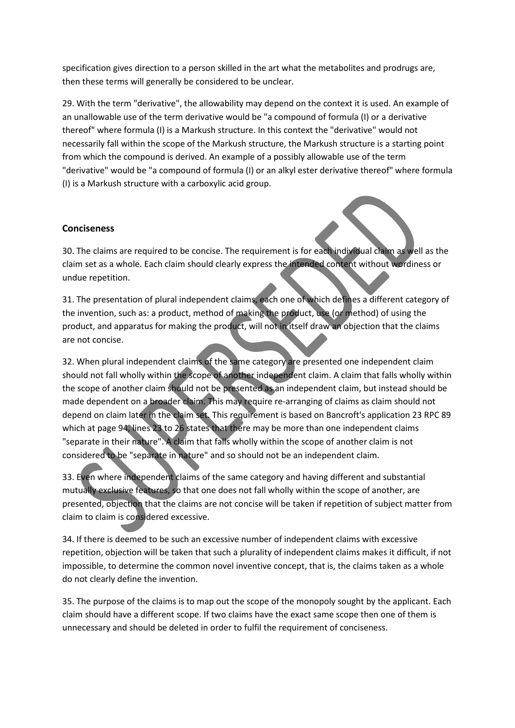specification gives direction to a person skilled in the art what the metabolites and prodrugs are, then these terms will generally be considered to be unclear.

29. With the term "derivative", the allowability may depend on the context it is used. An example of an unallowable use of the term derivative would be "a compound of formula (I) or a derivative thereof" where formula (I) is a Markush structure. In this context the "derivative" would not necessarily fall within the scope of the Markush structure, the Markush structure is a starting point from which the compound is derived. An example of a possibly allowable use of the term "derivative" would be "a compound of formula (I) or an alkyl ester derivative thereof" where formula (I) is a Markush structure with a carboxylic acid group.

#### **Conciseness**

30. The claims are required to be concise. The requirement is for each individual claim as well as the claim set as a whole. Each claim should clearly express the intended content without wordiness or undue repetition.

31. The presentation of plural independent claims, each one of which defines a different category of the invention, such as: a product, method of making the product, use (or method) of using the product, and apparatus for making the product, will not in itself draw an objection that the claims are not concise.

32. When plural independent claims of the same category are presented one independent claim should not fall wholly within the scope of another independent claim. A claim that falls wholly within the scope of another claim should not be presented as an independent claim, but instead should be made dependent on a broader claim. This may require re-arranging of claims as claim should not depend on claim later in the claim set. This requirement is based on Bancroft's application 23 RPC 89 which at page 94, lines 23 to 26 states that there may be more than one independent claims "separate in their nature". A claim that falls wholly within the scope of another claim is not considered to be "separate in nature" and so should not be an independent claim.

33. Even where independent claims of the same category and having different and substantial mutually exclusive features, so that one does not fall wholly within the scope of another, are presented, objection that the claims are not concise will be taken if repetition of subject matter from claim to claim is considered excessive.

34. If there is deemed to be such an excessive number of independent claims with excessive repetition, objection will be taken that such a plurality of independent claims makes it difficult, if not impossible, to determine the common novel inventive concept, that is, the claims taken as a whole do not clearly define the invention.

35. The purpose of the claims is to map out the scope of the monopoly sought by the applicant. Each claim should have a different scope. If two claims have the exact same scope then one of them is unnecessary and should be deleted in order to fulfil the requirement of conciseness.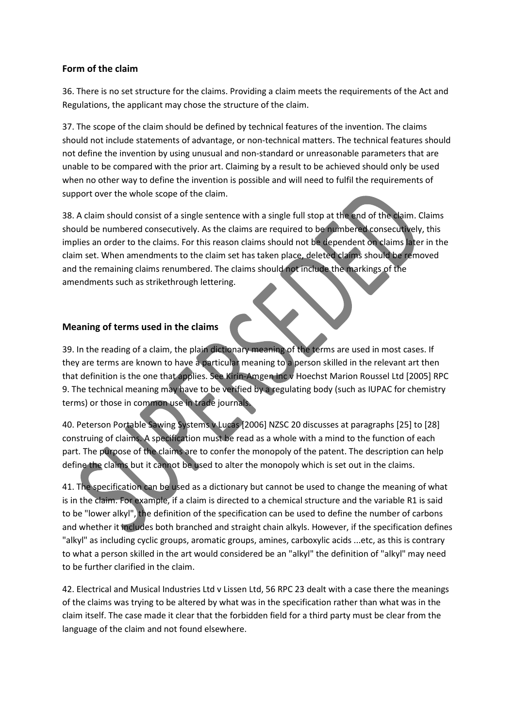#### **Form of the claim**

36. There is no set structure for the claims. Providing a claim meets the requirements of the Act and Regulations, the applicant may chose the structure of the claim.

37. The scope of the claim should be defined by technical features of the invention. The claims should not include statements of advantage, or non-technical matters. The technical features should not define the invention by using unusual and non-standard or unreasonable parameters that are unable to be compared with the prior art. Claiming by a result to be achieved should only be used when no other way to define the invention is possible and will need to fulfil the requirements of support over the whole scope of the claim.

38. A claim should consist of a single sentence with a single full stop at the end of the claim. Claims should be numbered consecutively. As the claims are required to be numbered consecutively, this implies an order to the claims. For this reason claims should not be dependent on claims later in the claim set. When amendments to the claim set has taken place, deleted claims should be removed and the remaining claims renumbered. The claims should not include the markings of the amendments such as strikethrough lettering.

#### **Meaning of terms used in the claims**

39. In the reading of a claim, the plain dictionary meaning of the terms are used in most cases. If they are terms are known to have a particular meaning to a person skilled in the relevant art then that definition is the one that applies. See Kirin-Amgen Inc v Hoechst Marion Roussel Ltd [2005] RPC 9. The technical meaning may have to be verified by a regulating body (such as IUPAC for chemistry terms) or those in common use in trade journals.

40. Peterson Portable Sawing Systems v Lucas [2006] NZSC 20 discusses at paragraphs [25] to [28] construing of claims. A specification must be read as a whole with a mind to the function of each part. The purpose of the claims are to confer the monopoly of the patent. The description can help define the claims but it cannot be used to alter the monopoly which is set out in the claims.

41. The specification can be used as a dictionary but cannot be used to change the meaning of what is in the claim. For example, if a claim is directed to a chemical structure and the variable R1 is said to be "lower alkyl", the definition of the specification can be used to define the number of carbons and whether it includes both branched and straight chain alkyls. However, if the specification defines "alkyl" as including cyclic groups, aromatic groups, amines, carboxylic acids ...etc, as this is contrary to what a person skilled in the art would considered be an "alkyl" the definition of "alkyl" may need to be further clarified in the claim.

42. Electrical and Musical Industries Ltd v Lissen Ltd, 56 RPC 23 dealt with a case there the meanings of the claims was trying to be altered by what was in the specification rather than what was in the claim itself. The case made it clear that the forbidden field for a third party must be clear from the language of the claim and not found elsewhere.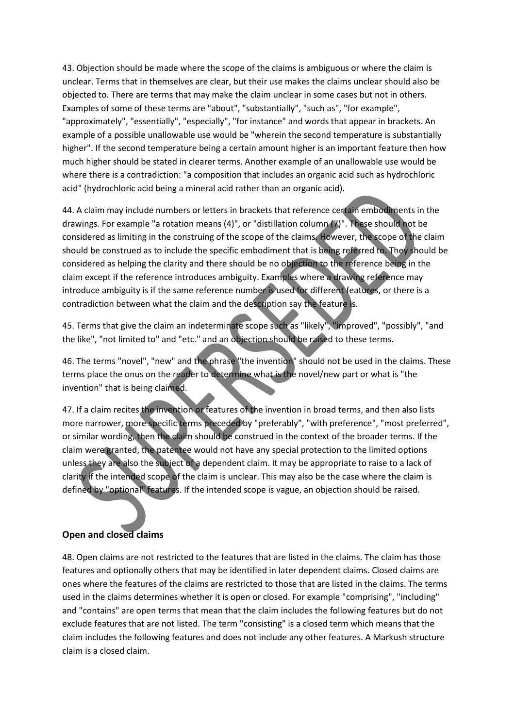43. Objection should be made where the scope of the claims is ambiguous or where the claim is unclear. Terms that in themselves are clear, but their use makes the claims unclear should also be objected to. There are terms that may make the claim unclear in some cases but not in others. Examples of some of these terms are "about", "substantially", "such as", "for example", "approximately", "essentially", "especially", "for instance" and words that appear in brackets. An example of a possible unallowable use would be "wherein the second temperature is substantially higher". If the second temperature being a certain amount higher is an important feature then how much higher should be stated in clearer terms. Another example of an unallowable use would be where there is a contradiction: "a composition that includes an organic acid such as hydrochloric acid" (hydrochloric acid being a mineral acid rather than an organic acid).

44. A claim may include numbers or letters in brackets that reference certain embodiments in the drawings. For example "a rotation means (4)", or "distillation column (7)". These should not be considered as limiting in the construing of the scope of the claims. However, the scope of the claim should be construed as to include the specific embodiment that is being referred to. They should be considered as helping the clarity and there should be no objection to the reference being in the claim except if the reference introduces ambiguity. Examples where a drawing reference may introduce ambiguity is if the same reference number is used for different features, or there is a contradiction between what the claim and the description say the feature is.

45. Terms that give the claim an indeterminate scope such as "likely", "improved", "possibly", "and the like", "not limited to" and "etc." and an objection should be raised to these terms.

46. The terms "novel", "new" and the phrase "the invention" should not be used in the claims. These terms place the onus on the reader to determine what is the novel/new part or what is "the invention" that is being claimed.

47. If a claim recites the invention or features of the invention in broad terms, and then also lists more narrower, more specific terms preceded by "preferably", "with preference", "most preferred", or similar wording, then the claim should be construed in the context of the broader terms. If the claim were granted, the patentee would not have any special protection to the limited options unless they are also the subject of a dependent claim. It may be appropriate to raise to a lack of clarity if the intended scope of the claim is unclear. This may also be the case where the claim is defined by "optional" features. If the intended scope is vague, an objection should be raised.

## **Open and closed claims**

48. Open claims are not restricted to the features that are listed in the claims. The claim has those features and optionally others that may be identified in later dependent claims. Closed claims are ones where the features of the claims are restricted to those that are listed in the claims. The terms used in the claims determines whether it is open or closed. For example "comprising", "including" and "contains" are open terms that mean that the claim includes the following features but do not exclude features that are not listed. The term "consisting" is a closed term which means that the claim includes the following features and does not include any other features. A Markush structure claim is a closed claim.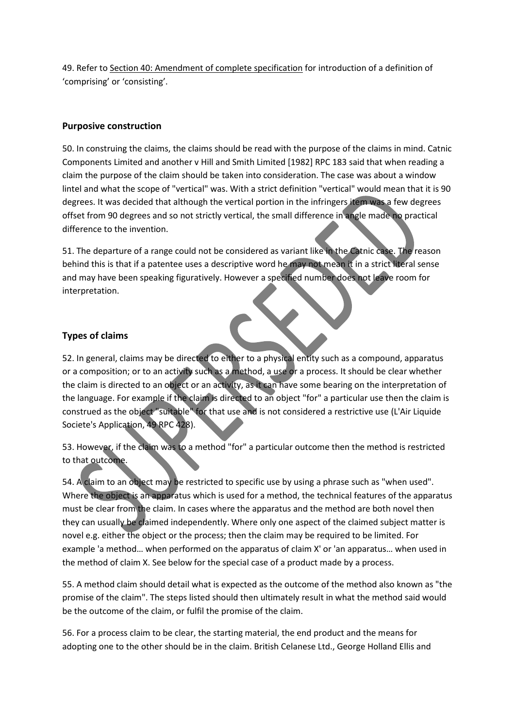49. Refer to Section 40: Amendment of complete specification for introduction of a definition of 'comprising' or 'consisting'.

#### **Purposive construction**

50. In construing the claims, the claims should be read with the purpose of the claims in mind. Catnic Components Limited and another v Hill and Smith Limited [1982] RPC 183 said that when reading a claim the purpose of the claim should be taken into consideration. The case was about a window lintel and what the scope of "vertical" was. With a strict definition "vertical" would mean that it is 90 degrees. It was decided that although the vertical portion in the infringers item was a few degrees offset from 90 degrees and so not strictly vertical, the small difference in angle made no practical difference to the invention.

51. The departure of a range could not be considered as variant like in the Catnic case. The reason behind this is that if a patentee uses a descriptive word he may not mean it in a strict literal sense and may have been speaking figuratively. However a specified number does not leave room for interpretation.

## **Types of claims**

52. In general, claims may be directed to either to a physical entity such as a compound, apparatus or a composition; or to an activity such as a method, a use or a process. It should be clear whether the claim is directed to an object or an activity, as it can have some bearing on the interpretation of the language. For example if the claim is directed to an object "for" a particular use then the claim is construed as the object "suitable" for that use and is not considered a restrictive use (L'Air Liquide Societe's Application, 49 RPC 428).

53. However, if the claim was to a method "for" a particular outcome then the method is restricted to that outcome.

54. A claim to an object may be restricted to specific use by using a phrase such as "when used". Where the object is an apparatus which is used for a method, the technical features of the apparatus must be clear from the claim. In cases where the apparatus and the method are both novel then they can usually be claimed independently. Where only one aspect of the claimed subject matter is novel e.g. either the object or the process; then the claim may be required to be limited. For example 'a method… when performed on the apparatus of claim X' or 'an apparatus… when used in the method of claim X. See below for the special case of a product made by a process.

55. A method claim should detail what is expected as the outcome of the method also known as "the promise of the claim". The steps listed should then ultimately result in what the method said would be the outcome of the claim, or fulfil the promise of the claim.

56. For a process claim to be clear, the starting material, the end product and the means for adopting one to the other should be in the claim. British Celanese Ltd., George Holland Ellis and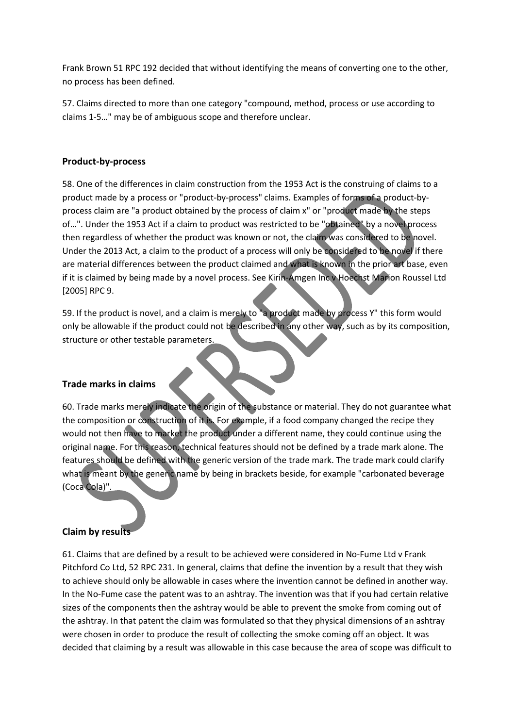Frank Brown 51 RPC 192 decided that without identifying the means of converting one to the other, no process has been defined.

57. Claims directed to more than one category "compound, method, process or use according to claims 1-5…" may be of ambiguous scope and therefore unclear.

#### **Product-by-process**

58. One of the differences in claim construction from the 1953 Act is the construing of claims to a product made by a process or "product-by-process" claims. Examples of forms of a product-byprocess claim are "a product obtained by the process of claim x" or "product made by the steps of…". Under the 1953 Act if a claim to product was restricted to be "obtained" by a novel process then regardless of whether the product was known or not, the claim was considered to be novel. Under the 2013 Act, a claim to the product of a process will only be considered to be novel if there are material differences between the product claimed and what is known in the prior art base, even if it is claimed by being made by a novel process. See Kirin-Amgen Inc v Hoechst Marion Roussel Ltd [2005] RPC 9.

59. If the product is novel, and a claim is merely to "a product made by process Y" this form would only be allowable if the product could not be described in any other way, such as by its composition, structure or other testable parameters.

#### **Trade marks in claims**

60. Trade marks merely indicate the origin of the substance or material. They do not guarantee what the composition or construction of it is. For example, if a food company changed the recipe they would not then have to market the product under a different name, they could continue using the original name. For this reason, technical features should not be defined by a trade mark alone. The features should be defined with the generic version of the trade mark. The trade mark could clarify what is meant by the generic name by being in brackets beside, for example "carbonated beverage (Coca Cola)".

## **Claim by results**

61. Claims that are defined by a result to be achieved were considered in No-Fume Ltd v Frank Pitchford Co Ltd, 52 RPC 231. In general, claims that define the invention by a result that they wish to achieve should only be allowable in cases where the invention cannot be defined in another way. In the No-Fume case the patent was to an ashtray. The invention was that if you had certain relative sizes of the components then the ashtray would be able to prevent the smoke from coming out of the ashtray. In that patent the claim was formulated so that they physical dimensions of an ashtray were chosen in order to produce the result of collecting the smoke coming off an object. It was decided that claiming by a result was allowable in this case because the area of scope was difficult to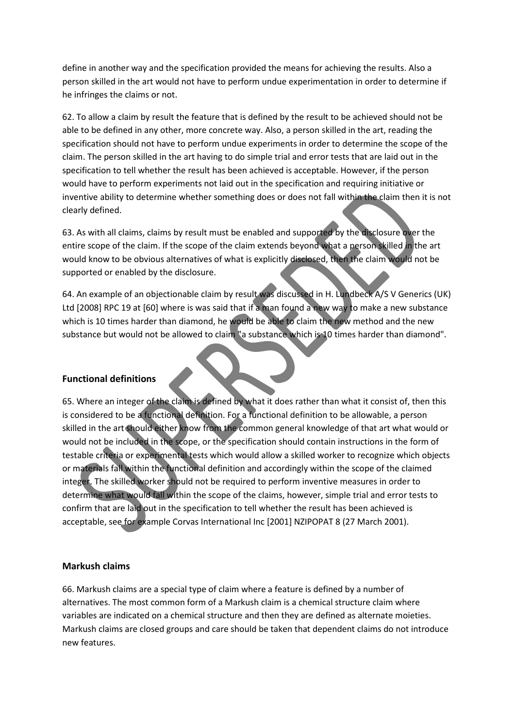define in another way and the specification provided the means for achieving the results. Also a person skilled in the art would not have to perform undue experimentation in order to determine if he infringes the claims or not.

62. To allow a claim by result the feature that is defined by the result to be achieved should not be able to be defined in any other, more concrete way. Also, a person skilled in the art, reading the specification should not have to perform undue experiments in order to determine the scope of the claim. The person skilled in the art having to do simple trial and error tests that are laid out in the specification to tell whether the result has been achieved is acceptable. However, if the person would have to perform experiments not laid out in the specification and requiring initiative or inventive ability to determine whether something does or does not fall within the claim then it is not clearly defined.

63. As with all claims, claims by result must be enabled and supported by the disclosure over the entire scope of the claim. If the scope of the claim extends beyond what a person skilled in the art would know to be obvious alternatives of what is explicitly disclosed, then the claim would not be supported or enabled by the disclosure.

64. An example of an objectionable claim by result was discussed in H. Lundbeck A/S V Generics (UK) Ltd [2008] RPC 19 at [60] where is was said that if a man found a new way to make a new substance which is 10 times harder than diamond, he would be able to claim the new method and the new substance but would not be allowed to claim "a substance which is 10 times harder than diamond".

#### **Functional definitions**

65. Where an integer of the claim is defined by what it does rather than what it consist of, then this is considered to be a functional definition. For a functional definition to be allowable, a person skilled in the art should either know from the common general knowledge of that art what would or would not be included in the scope, or the specification should contain instructions in the form of testable criteria or experimental tests which would allow a skilled worker to recognize which objects or materials fall within the functional definition and accordingly within the scope of the claimed integer. The skilled worker should not be required to perform inventive measures in order to determine what would fall within the scope of the claims, however, simple trial and error tests to confirm that are laid out in the specification to tell whether the result has been achieved is acceptable, see for example Corvas International Inc [2001] NZIPOPAT 8 (27 March 2001).

#### **Markush claims**

66. Markush claims are a special type of claim where a feature is defined by a number of alternatives. The most common form of a Markush claim is a chemical structure claim where variables are indicated on a chemical structure and then they are defined as alternate moieties. Markush claims are closed groups and care should be taken that dependent claims do not introduce new features.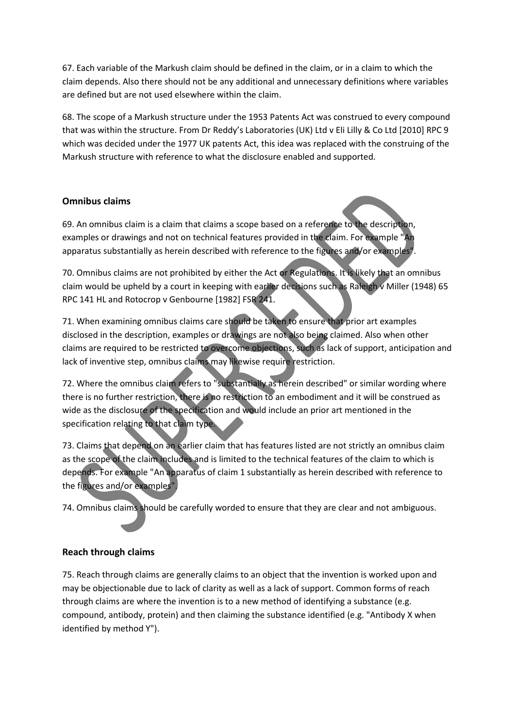67. Each variable of the Markush claim should be defined in the claim, or in a claim to which the claim depends. Also there should not be any additional and unnecessary definitions where variables are defined but are not used elsewhere within the claim.

68. The scope of a Markush structure under the 1953 Patents Act was construed to every compound that was within the structure. From Dr Reddy's Laboratories (UK) Ltd v Eli Lilly & Co Ltd [2010] RPC 9 which was decided under the 1977 UK patents Act, this idea was replaced with the construing of the Markush structure with reference to what the disclosure enabled and supported.

#### **Omnibus claims**

69. An omnibus claim is a claim that claims a scope based on a reference to the description, examples or drawings and not on technical features provided in the claim. For example "An apparatus substantially as herein described with reference to the figures and/or examples".

70. Omnibus claims are not prohibited by either the Act or Regulations. It is likely that an omnibus claim would be upheld by a court in keeping with earlier decisions such as Raleigh v Miller (1948) 65 RPC 141 HL and Rotocrop v Genbourne [1982] FSR 241.

71. When examining omnibus claims care should be taken to ensure that prior art examples disclosed in the description, examples or drawings are not also being claimed. Also when other claims are required to be restricted to overcome objections, such as lack of support, anticipation and lack of inventive step, omnibus claims may likewise require restriction.

72. Where the omnibus claim refers to "substantially as herein described" or similar wording where there is no further restriction, there is no restriction to an embodiment and it will be construed as wide as the disclosure of the specification and would include an prior art mentioned in the specification relating to that claim type.

73. Claims that depend on an earlier claim that has features listed are not strictly an omnibus claim as the scope of the claim includes and is limited to the technical features of the claim to which is depends. For example "An apparatus of claim 1 substantially as herein described with reference to the figures and/or examples".

74. Omnibus claims should be carefully worded to ensure that they are clear and not ambiguous.

## **Reach through claims**

75. Reach through claims are generally claims to an object that the invention is worked upon and may be objectionable due to lack of clarity as well as a lack of support. Common forms of reach through claims are where the invention is to a new method of identifying a substance (e.g. compound, antibody, protein) and then claiming the substance identified (e.g. "Antibody X when identified by method Y").